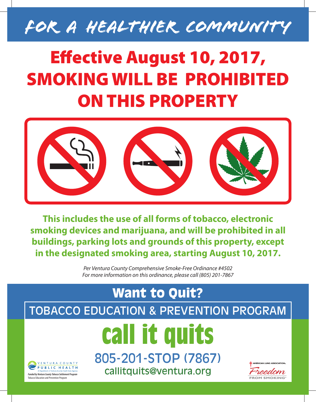

## Effective August 10, 2017, SMOKING WILL BE PROHIBITED ON THIS PROPERTY



**This includes the use of all forms of tobacco, electronic smoking devices and marijuana, and will be prohibited in all buildings, parking lots and grounds of this property, except in the designated smoking area, starting August 10, 2017.**

> *Per Ventura County Comprehensive Smoke-Free Ordinance #4502 For more information on this ordinance, please call (805) 201-7867*

## Want to Quit? TOBACCO EDUCATION & PREVENTION PROGRAM **call it quits** 805-201-STOP (7867) VENTURA COUNTY **AMERICAN LUNG ASSOCIATI PUBLIC HEALTH**

*Funded by Ventura County Tobacco Settlement Program* Tobacco Education and Prevention Program